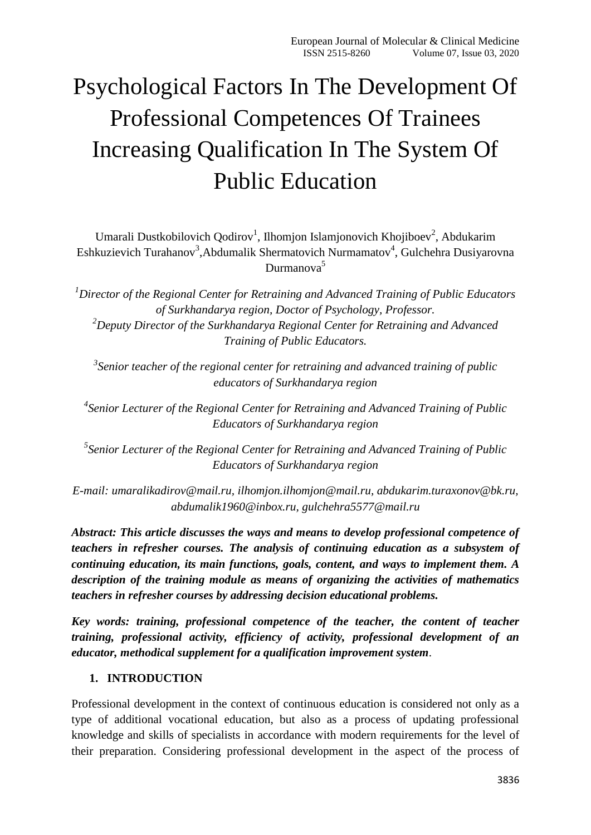# Psychological Factors In The Development Of Professional Competences Of Trainees Increasing Qualification In The System Of Public Education

Umarali Dustkobilovich Qodirov<sup>1</sup>, Ilhomjon Islamjonovich Khojiboev<sup>2</sup>, Abdukarim Eshkuzievich Turahanov<sup>3</sup>, Abdumalik Shermatovich Nurmamatov<sup>4</sup>, Gulchehra Dusiyarovna Durmanova<sup>5</sup>

*<sup>1</sup>Director of the Regional Center for Retraining and Advanced Training of Public Educators of Surkhandarya region, Doctor of Psychology, Professor. <sup>2</sup>Deputy Director of the Surkhandarya Regional Center for Retraining and Advanced Training of Public Educators.*

*3 Senior teacher of the regional center for retraining and advanced training of public educators of Surkhandarya region*

*4 Senior Lecturer of the Regional Center for Retraining and Advanced Training of Public Educators of Surkhandarya region*

*5 Senior Lecturer of the Regional Center for Retraining and Advanced Training of Public Educators of Surkhandarya region*

*E-mail: [umaralikadirov@mail.ru,](mailto:umaralikadirov@mail.ru) [ilhomjon.ilhomjon@mail.ru,](mailto:ilhomjon.ilhomjon@mail.ru) [abdukarim.turaxonov@bk.ru,](mailto:abdukarim.turaxonov@bk.ru) [abdumalik1960@inbox.ru,](mailto:abdumalik1960@inbox.ru) [gulchehra5577@mail.ru](mailto:gulchehra5577@mail.ru)*

*Abstract: This article discusses the ways and means to develop professional competence of teachers in refresher courses. The analysis of continuing education as a subsystem of continuing education, its main functions, goals, content, and ways to implement them. A description of the training module as means of organizing the activities of mathematics teachers in refresher courses by addressing decision educational problems.* 

*Key words: training, professional competence of the teacher, the content of teacher training, professional activity, efficiency of activity, professional development of an educator, methodical supplement for a qualification improvement system*.

## **1. INTRODUCTION**

Professional development in the context of continuous education is considered not only as a type of additional vocational education, but also as a process of updating professional knowledge and skills of specialists in accordance with modern requirements for the level of their preparation. Considering professional development in the aspect of the process of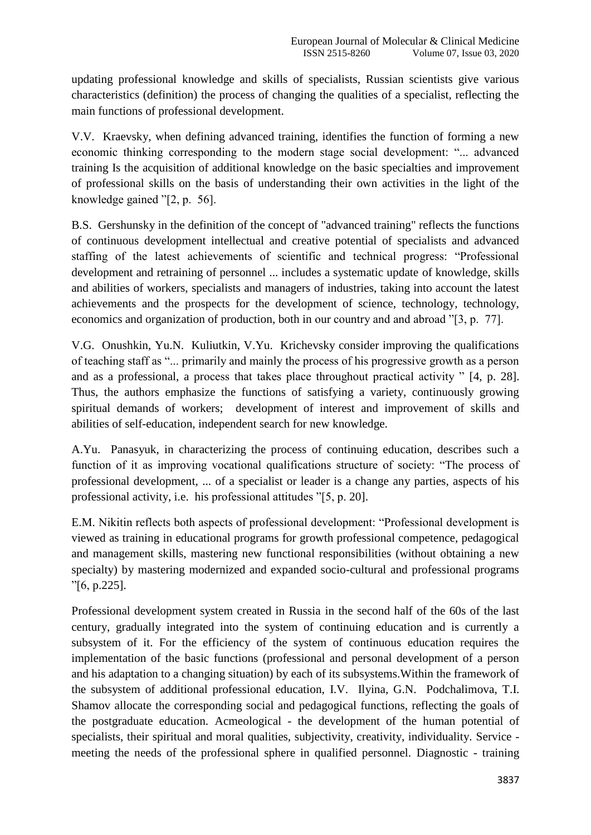updating professional knowledge and skills of specialists, Russian scientists give various characteristics (definition) the process of changing the qualities of a specialist, reflecting the main functions of professional development.

V.V. Kraevsky, when defining advanced training, identifies the function of forming a new economic thinking corresponding to the modern stage social development: "... advanced training Is the acquisition of additional knowledge on the basic specialties and improvement of professional skills on the basis of understanding their own activities in the light of the knowledge gained "[2, p. 56].

B.S. Gershunsky in the definition of the concept of "advanced training" reflects the functions of continuous development intellectual and creative potential of specialists and advanced staffing of the latest achievements of scientific and technical progress: "Professional development and retraining of personnel ... includes a systematic update of knowledge, skills and abilities of workers, specialists and managers of industries, taking into account the latest achievements and the prospects for the development of science, technology, technology, economics and organization of production, both in our country and and abroad "[3, p. 77].

V.G. Onushkin, Yu.N. Kuliutkin, V.Yu. Krichevsky consider improving the qualifications of teaching staff as "... primarily and mainly the process of his progressive growth as a person and as a professional, a process that takes place throughout practical activity " [4, p. 28]. Thus, the authors emphasize the functions of satisfying a variety, continuously growing spiritual demands of workers; development of interest and improvement of skills and abilities of self-education, independent search for new knowledge.

A.Yu. Panasyuk, in characterizing the process of continuing education, describes such a function of it as improving vocational qualifications structure of society: "The process of professional development, ... of a specialist or leader is a change any parties, aspects of his professional activity, i.e. his professional attitudes "[5, p. 20].

E.M. Nikitin reflects both aspects of professional development: "Professional development is viewed as training in educational programs for growth professional competence, pedagogical and management skills, mastering new functional responsibilities (without obtaining a new specialty) by mastering modernized and expanded socio-cultural and professional programs "[6, p.225].

Professional development system created in Russia in the second half of the 60s of the last century, gradually integrated into the system of continuing education and is currently a subsystem of it. For the efficiency of the system of continuous education requires the implementation of the basic functions (professional and personal development of a person and his adaptation to a changing situation) by each of its subsystems.Within the framework of the subsystem of additional professional education, I.V. Ilyina, G.N. Podchalimova, T.I. Shamov allocate the corresponding social and pedagogical functions, reflecting the goals of the postgraduate education. Acmeological - the development of the human potential of specialists, their spiritual and moral qualities, subjectivity, creativity, individuality. Service meeting the needs of the professional sphere in qualified personnel. Diagnostic - training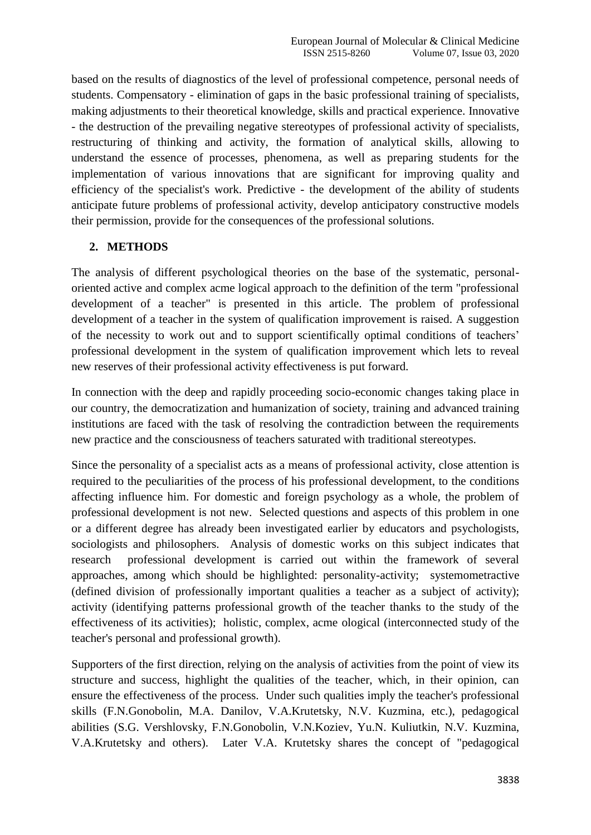based on the results of diagnostics of the level of professional competence, personal needs of students. Compensatory - elimination of gaps in the basic professional training of specialists, making adjustments to their theoretical knowledge, skills and practical experience. Innovative - the destruction of the prevailing negative stereotypes of professional activity of specialists, restructuring of thinking and activity, the formation of analytical skills, allowing to understand the essence of processes, phenomena, as well as preparing students for the implementation of various innovations that are significant for improving quality and efficiency of the specialist's work. Predictive - the development of the ability of students anticipate future problems of professional activity, develop anticipatory constructive models their permission, provide for the consequences of the professional solutions.

## **2. METHODS**

The analysis of different psychological theories on the base of the systematic, personaloriented active and complex acme logical approach to the definition of the term "professional development of a teacher" is presented in this article. The problem of professional development of a teacher in the system of qualification improvement is raised. A suggestion of the necessity to work out and to support scientifically optimal conditions of teachers' professional development in the system of qualification improvement which lets to reveal new reserves of their professional activity effectiveness is put forward.

In connection with the deep and rapidly proceeding socio-economic changes taking place in our country, the democratization and humanization of society, training and advanced training institutions are faced with the task of resolving the contradiction between the requirements new practice and the consciousness of teachers saturated with traditional stereotypes.

Since the personality of a specialist acts as a means of professional activity, close attention is required to the peculiarities of the process of his professional development, to the conditions affecting influence him. For domestic and foreign psychology as a whole, the problem of professional development is not new. Selected questions and aspects of this problem in one or a different degree has already been investigated earlier by educators and psychologists, sociologists and philosophers. Analysis of domestic works on this subject indicates that research professional development is carried out within the framework of several approaches, among which should be highlighted: personality-activity; systemometractive (defined division of professionally important qualities a teacher as a subject of activity); activity (identifying patterns professional growth of the teacher thanks to the study of the effectiveness of its activities); holistic, complex, acme ological (interconnected study of the teacher's personal and professional growth).

Supporters of the first direction, relying on the analysis of activities from the point of view its structure and success, highlight the qualities of the teacher, which, in their opinion, can ensure the effectiveness of the process. Under such qualities imply the teacher's professional skills (F.N.Gonobolin, M.A. Danilov, V.A.Krutetsky, N.V. Kuzmina, etc.), pedagogical abilities (S.G. Vershlovsky, F.N.Gonobolin, V.N.Koziev, Yu.N. Kuliutkin, N.V. Kuzmina, V.A.Krutetsky and others). Later V.A. Krutetsky shares the concept of "pedagogical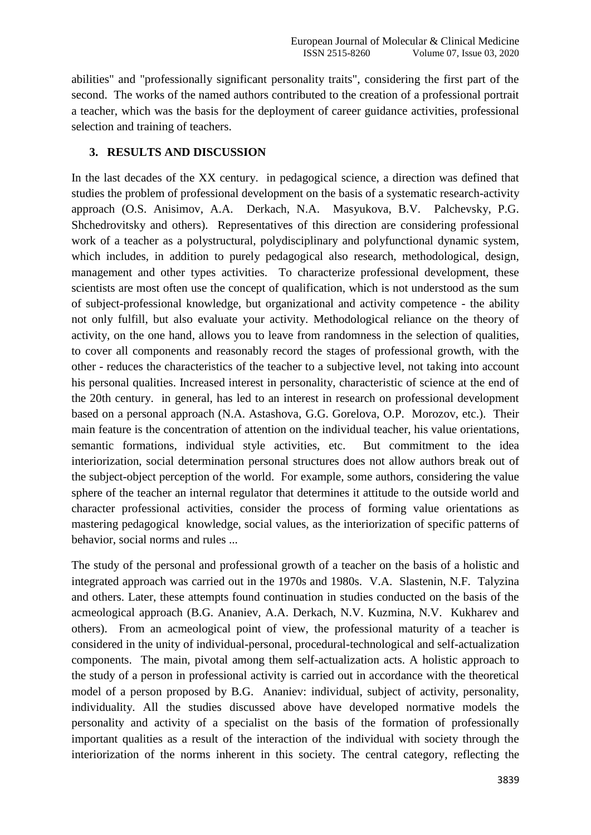abilities" and "professionally significant personality traits", considering the first part of the second. The works of the named authors contributed to the creation of a professional portrait a teacher, which was the basis for the deployment of career guidance activities, professional selection and training of teachers.

#### **3. RESULTS AND DISCUSSION**

In the last decades of the XX century. in pedagogical science, a direction was defined that studies the problem of professional development on the basis of a systematic research-activity approach (O.S. Anisimov, A.A. Derkach, N.A. Masyukova, B.V. Palchevsky, P.G. Shchedrovitsky and others). Representatives of this direction are considering professional work of a teacher as a polystructural, polydisciplinary and polyfunctional dynamic system, which includes, in addition to purely pedagogical also research, methodological, design, management and other types activities. To characterize professional development, these scientists are most often use the concept of qualification, which is not understood as the sum of subject-professional knowledge, but organizational and activity competence - the ability not only fulfill, but also evaluate your activity. Methodological reliance on the theory of activity, on the one hand, allows you to leave from randomness in the selection of qualities, to cover all components and reasonably record the stages of professional growth, with the other - reduces the characteristics of the teacher to a subjective level, not taking into account his personal qualities. Increased interest in personality, characteristic of science at the end of the 20th century. in general, has led to an interest in research on professional development based on a personal approach (N.A. Astashova, G.G. Gorelova, O.P. Morozov, etc.). Their main feature is the concentration of attention on the individual teacher, his value orientations, semantic formations, individual style activities, etc. But commitment to the idea interiorization, social determination personal structures does not allow authors break out of the subject-object perception of the world. For example, some authors, considering the value sphere of the teacher an internal regulator that determines it attitude to the outside world and character professional activities, consider the process of forming value orientations as mastering pedagogical knowledge, social values, as the interiorization of specific patterns of behavior, social norms and rules ...

The study of the personal and professional growth of a teacher on the basis of a holistic and integrated approach was carried out in the 1970s and 1980s. V.A. Slastenin, N.F. Talyzina and others. Later, these attempts found continuation in studies conducted on the basis of the acmeological approach (B.G. Ananiev, A.A. Derkach, N.V. Kuzmina, N.V. Kukharev and others). From an acmeological point of view, the professional maturity of a teacher is considered in the unity of individual-personal, procedural-technological and self-actualization components. The main, pivotal among them self-actualization acts. A holistic approach to the study of a person in professional activity is carried out in accordance with the theoretical model of a person proposed by B.G. Ananiev: individual, subject of activity, personality, individuality. All the studies discussed above have developed normative models the personality and activity of a specialist on the basis of the formation of professionally important qualities as a result of the interaction of the individual with society through the interiorization of the norms inherent in this society. The central category, reflecting the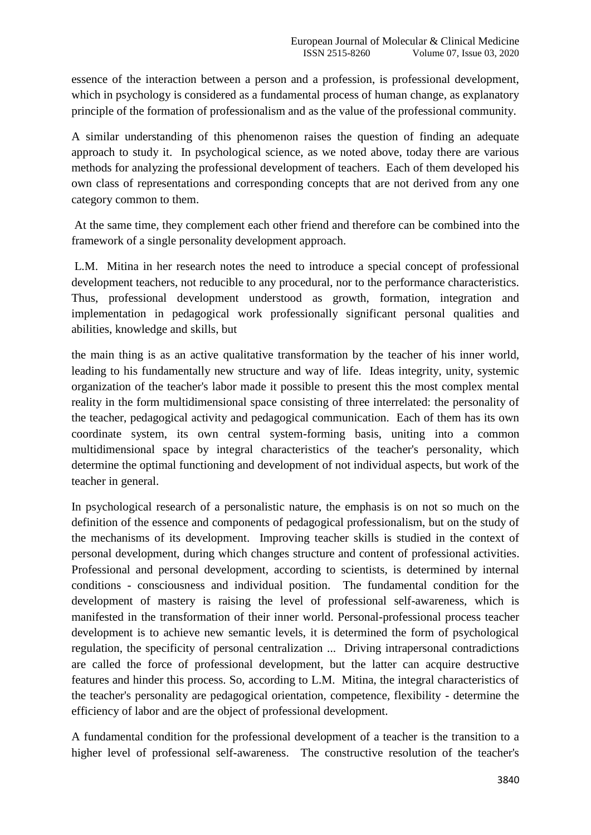essence of the interaction between a person and a profession, is professional development, which in psychology is considered as a fundamental process of human change, as explanatory principle of the formation of professionalism and as the value of the professional community.

A similar understanding of this phenomenon raises the question of finding an adequate approach to study it. In psychological science, as we noted above, today there are various methods for analyzing the professional development of teachers. Each of them developed his own class of representations and corresponding concepts that are not derived from any one category common to them.

At the same time, they complement each other friend and therefore can be combined into the framework of a single personality development approach.

L.M. Mitina in her research notes the need to introduce a special concept of professional development teachers, not reducible to any procedural, nor to the performance characteristics. Thus, professional development understood as growth, formation, integration and implementation in pedagogical work professionally significant personal qualities and abilities, knowledge and skills, but

the main thing is as an active qualitative transformation by the teacher of his inner world, leading to his fundamentally new structure and way of life. Ideas integrity, unity, systemic organization of the teacher's labor made it possible to present this the most complex mental reality in the form multidimensional space consisting of three interrelated: the personality of the teacher, pedagogical activity and pedagogical communication. Each of them has its own coordinate system, its own central system-forming basis, uniting into a common multidimensional space by integral characteristics of the teacher's personality, which determine the optimal functioning and development of not individual aspects, but work of the teacher in general.

In psychological research of a personalistic nature, the emphasis is on not so much on the definition of the essence and components of pedagogical professionalism, but on the study of the mechanisms of its development. Improving teacher skills is studied in the context of personal development, during which changes structure and content of professional activities. Professional and personal development, according to scientists, is determined by internal conditions - consciousness and individual position. The fundamental condition for the development of mastery is raising the level of professional self-awareness, which is manifested in the transformation of their inner world. Personal-professional process teacher development is to achieve new semantic levels, it is determined the form of psychological regulation, the specificity of personal centralization ... Driving intrapersonal contradictions are called the force of professional development, but the latter can acquire destructive features and hinder this process. So, according to L.M. Mitina, the integral characteristics of the teacher's personality are pedagogical orientation, competence, flexibility - determine the efficiency of labor and are the object of professional development.

A fundamental condition for the professional development of a teacher is the transition to a higher level of professional self-awareness. The constructive resolution of the teacher's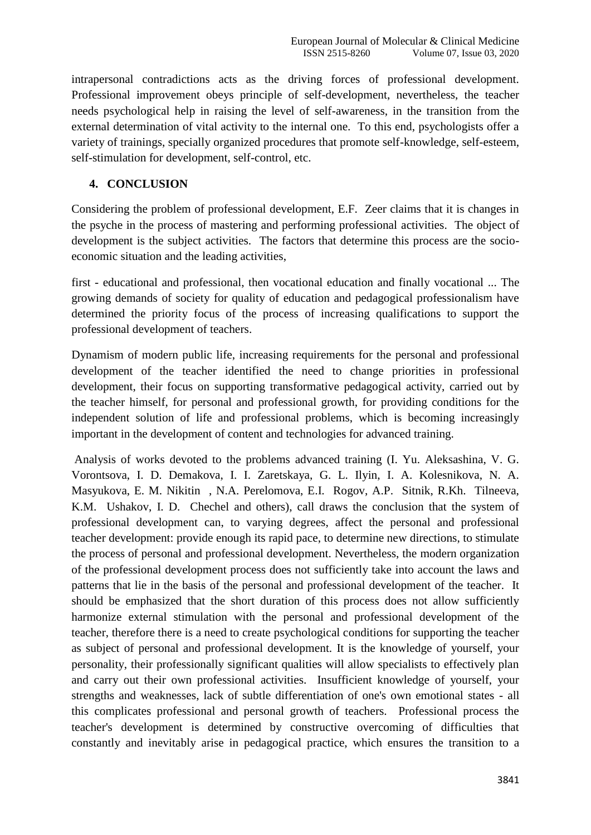intrapersonal contradictions acts as the driving forces of professional development. Professional improvement obeys principle of self-development, nevertheless, the teacher needs psychological help in raising the level of self-awareness, in the transition from the external determination of vital activity to the internal one. To this end, psychologists offer a variety of trainings, specially organized procedures that promote self-knowledge, self-esteem, self-stimulation for development, self-control, etc.

### **4. CONCLUSION**

Considering the problem of professional development, E.F. Zeer claims that it is changes in the psyche in the process of mastering and performing professional activities. The object of development is the subject activities. The factors that determine this process are the socioeconomic situation and the leading activities,

first - educational and professional, then vocational education and finally vocational ... The growing demands of society for quality of education and pedagogical professionalism have determined the priority focus of the process of increasing qualifications to support the professional development of teachers.

Dynamism of modern public life, increasing requirements for the personal and professional development of the teacher identified the need to change priorities in professional development, their focus on supporting transformative pedagogical activity, carried out by the teacher himself, for personal and professional growth, for providing conditions for the independent solution of life and professional problems, which is becoming increasingly important in the development of content and technologies for advanced training.

Analysis of works devoted to the problems advanced training (I. Yu. Aleksashina, V. G. Vorontsova, I. D. Demakova, I. I. Zaretskaya, G. L. Ilyin, I. A. Kolesnikova, N. A. Masyukova, E. M. Nikitin , N.A. Perelomova, E.I. Rogov, A.P. Sitnik, R.Kh. Tilneeva, K.M. Ushakov, I. D. Chechel and others), call draws the conclusion that the system of professional development can, to varying degrees, affect the personal and professional teacher development: provide enough its rapid pace, to determine new directions, to stimulate the process of personal and professional development. Nevertheless, the modern organization of the professional development process does not sufficiently take into account the laws and patterns that lie in the basis of the personal and professional development of the teacher. It should be emphasized that the short duration of this process does not allow sufficiently harmonize external stimulation with the personal and professional development of the teacher, therefore there is a need to create psychological conditions for supporting the teacher as subject of personal and professional development. It is the knowledge of yourself, your personality, their professionally significant qualities will allow specialists to effectively plan and carry out their own professional activities. Insufficient knowledge of yourself, your strengths and weaknesses, lack of subtle differentiation of one's own emotional states - all this complicates professional and personal growth of teachers. Professional process the teacher's development is determined by constructive overcoming of difficulties that constantly and inevitably arise in pedagogical practice, which ensures the transition to a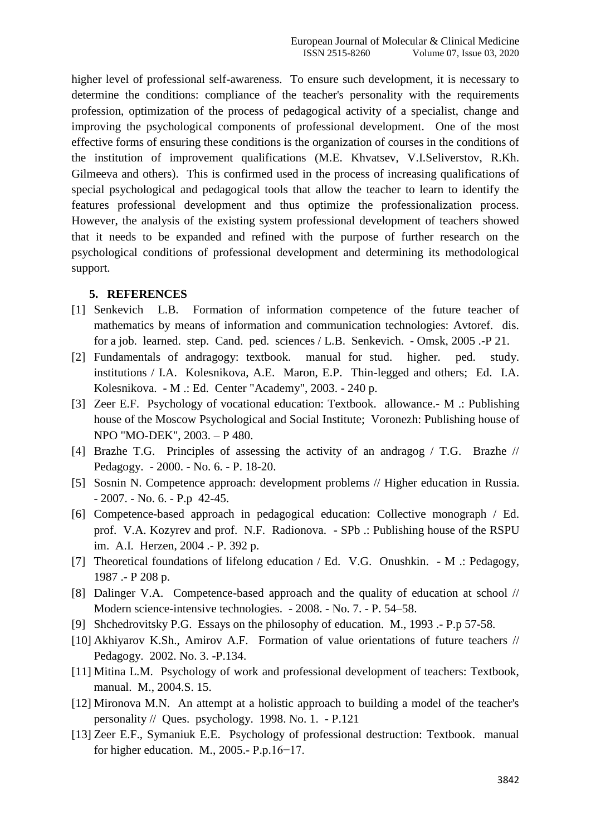higher level of professional self-awareness. To ensure such development, it is necessary to determine the conditions: compliance of the teacher's personality with the requirements profession, optimization of the process of pedagogical activity of a specialist, change and improving the psychological components of professional development. One of the most effective forms of ensuring these conditions is the organization of courses in the conditions of the institution of improvement qualifications (M.E. Khvatsev, V.I.Seliverstov, R.Kh. Gilmeeva and others). This is confirmed used in the process of increasing qualifications of special psychological and pedagogical tools that allow the teacher to learn to identify the features professional development and thus optimize the professionalization process. However, the analysis of the existing system professional development of teachers showed that it needs to be expanded and refined with the purpose of further research on the psychological conditions of professional development and determining its methodological support.

#### **5. REFERENCES**

- [1] Senkevich L.B. Formation of information competence of the future teacher of mathematics by means of information and communication technologies: Avtoref. dis. for a job. learned. step. Cand. ped. sciences / L.B. Senkevich. - Omsk, 2005 .-P 21.
- [2] Fundamentals of andragogy: textbook. manual for stud. higher. ped. study. institutions / I.A. Kolesnikova, A.E. Maron, E.P. Thin-legged and others; Ed. I.A. Kolesnikova. - M .: Ed. Center "Academy", 2003. - 240 p.
- [3] Zeer E.F. Psychology of vocational education: Textbook. allowance.- M .: Publishing house of the Moscow Psychological and Social Institute; Voronezh: Publishing house of NPO "MO-DEK", 2003. – P 480.
- [4] Brazhe T.G. Principles of assessing the activity of an andragog / T.G. Brazhe // Pedagogy. - 2000. - No. 6. - P. 18-20.
- [5] Sosnin N. Competence approach: development problems // Higher education in Russia. - 2007. - No. 6. - P.p 42-45.
- [6] Competence-based approach in pedagogical education: Collective monograph / Ed. prof. V.A. Kozyrev and prof. N.F. Radionova. - SPb .: Publishing house of the RSPU im. A.I. Herzen, 2004 .- P. 392 p.
- [7] Theoretical foundations of lifelong education / Ed. V.G. Onushkin. M .: Pedagogy, 1987 .- P 208 p.
- [8] Dalinger V.A. Competence-based approach and the quality of education at school // Modern science-intensive technologies. - 2008. - No. 7. - P. 54–58.
- [9] Shchedrovitsky P.G. Essays on the philosophy of education. M., 1993 .- P.p 57-58.
- [10] Akhiyarov K.Sh., Amirov A.F. Formation of value orientations of future teachers // Pedagogy. 2002. No. 3. -P.134.
- [11] Mitina L.M. Psychology of work and professional development of teachers: Textbook, manual. M., 2004.S. 15.
- [12] Mironova M.N. An attempt at a holistic approach to building a model of the teacher's personality // Ques. psychology. 1998. No. 1. - P.121
- [13] Zeer E.F., Symaniuk E.E. Psychology of professional destruction: Textbook. manual for higher education. M., 2005.- P.p.16−17.